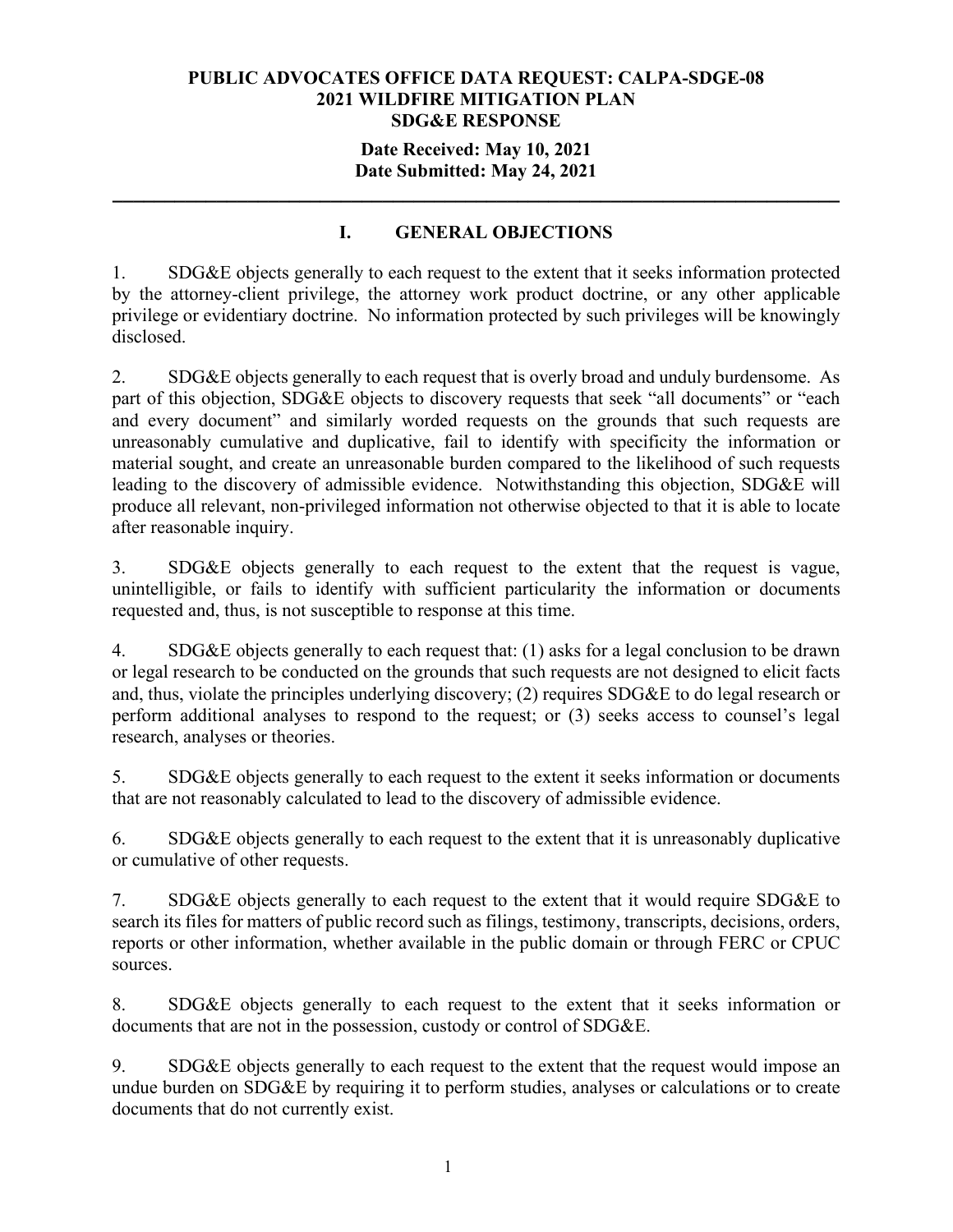### **Date Received: May 10, 2021 Date Submitted: May 24, 2021**

**\_\_\_\_\_\_\_\_\_\_\_\_\_\_\_\_\_\_\_\_\_\_\_\_\_\_\_\_\_\_\_\_\_\_\_\_\_\_\_\_\_\_\_\_\_\_\_\_\_\_\_\_\_\_\_\_\_\_\_\_\_\_\_\_\_\_\_\_\_\_**

# **I. GENERAL OBJECTIONS**

1. SDG&E objects generally to each request to the extent that it seeks information protected by the attorney-client privilege, the attorney work product doctrine, or any other applicable privilege or evidentiary doctrine. No information protected by such privileges will be knowingly disclosed.

2. SDG&E objects generally to each request that is overly broad and unduly burdensome. As part of this objection, SDG&E objects to discovery requests that seek "all documents" or "each and every document" and similarly worded requests on the grounds that such requests are unreasonably cumulative and duplicative, fail to identify with specificity the information or material sought, and create an unreasonable burden compared to the likelihood of such requests leading to the discovery of admissible evidence. Notwithstanding this objection, SDG&E will produce all relevant, non-privileged information not otherwise objected to that it is able to locate after reasonable inquiry.

3. SDG&E objects generally to each request to the extent that the request is vague, unintelligible, or fails to identify with sufficient particularity the information or documents requested and, thus, is not susceptible to response at this time.

4. SDG&E objects generally to each request that: (1) asks for a legal conclusion to be drawn or legal research to be conducted on the grounds that such requests are not designed to elicit facts and, thus, violate the principles underlying discovery; (2) requires SDG&E to do legal research or perform additional analyses to respond to the request; or (3) seeks access to counsel's legal research, analyses or theories.

5. SDG&E objects generally to each request to the extent it seeks information or documents that are not reasonably calculated to lead to the discovery of admissible evidence.

6. SDG&E objects generally to each request to the extent that it is unreasonably duplicative or cumulative of other requests.

7. SDG&E objects generally to each request to the extent that it would require SDG&E to search its files for matters of public record such as filings, testimony, transcripts, decisions, orders, reports or other information, whether available in the public domain or through FERC or CPUC sources.

8. SDG&E objects generally to each request to the extent that it seeks information or documents that are not in the possession, custody or control of SDG&E.

9. SDG&E objects generally to each request to the extent that the request would impose an undue burden on SDG&E by requiring it to perform studies, analyses or calculations or to create documents that do not currently exist.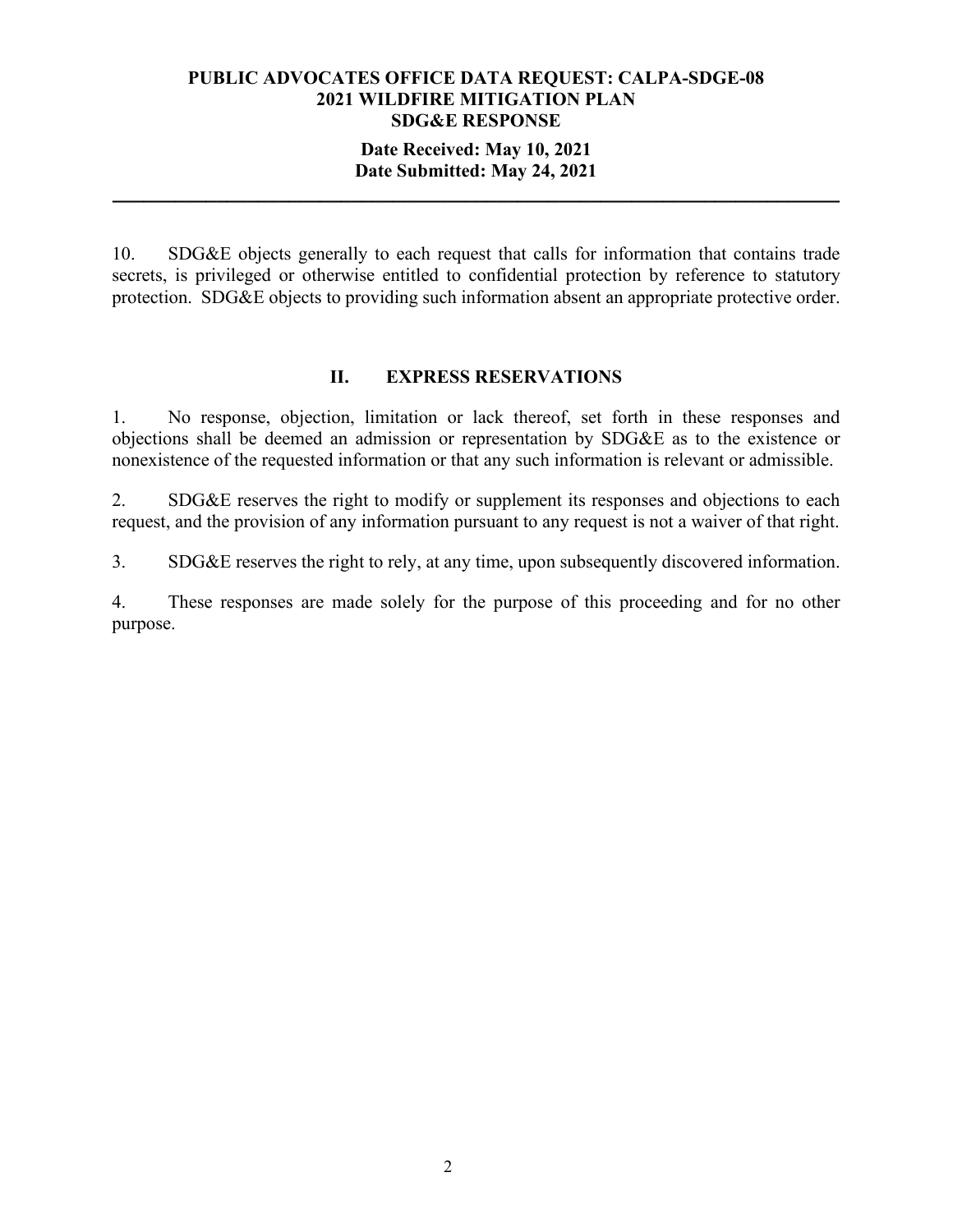### **Date Received: May 10, 2021 Date Submitted: May 24, 2021**

**\_\_\_\_\_\_\_\_\_\_\_\_\_\_\_\_\_\_\_\_\_\_\_\_\_\_\_\_\_\_\_\_\_\_\_\_\_\_\_\_\_\_\_\_\_\_\_\_\_\_\_\_\_\_\_\_\_\_\_\_\_\_\_\_\_\_\_\_\_\_**

10. SDG&E objects generally to each request that calls for information that contains trade secrets, is privileged or otherwise entitled to confidential protection by reference to statutory protection. SDG&E objects to providing such information absent an appropriate protective order.

### **II. EXPRESS RESERVATIONS**

1. No response, objection, limitation or lack thereof, set forth in these responses and objections shall be deemed an admission or representation by SDG&E as to the existence or nonexistence of the requested information or that any such information is relevant or admissible.

2. SDG&E reserves the right to modify or supplement its responses and objections to each request, and the provision of any information pursuant to any request is not a waiver of that right.

3. SDG&E reserves the right to rely, at any time, upon subsequently discovered information.

4. These responses are made solely for the purpose of this proceeding and for no other purpose.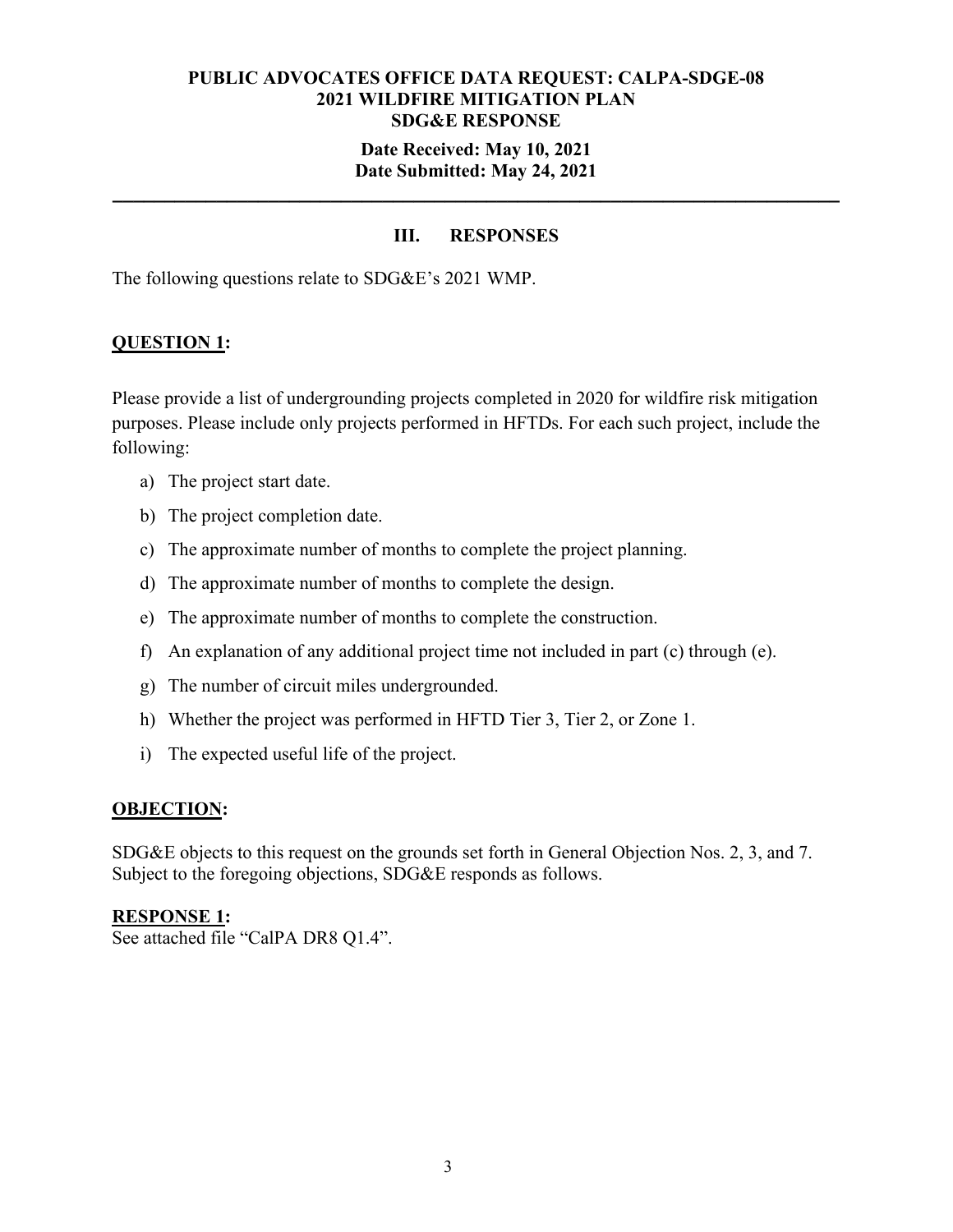### **Date Received: May 10, 2021 Date Submitted: May 24, 2021**

**\_\_\_\_\_\_\_\_\_\_\_\_\_\_\_\_\_\_\_\_\_\_\_\_\_\_\_\_\_\_\_\_\_\_\_\_\_\_\_\_\_\_\_\_\_\_\_\_\_\_\_\_\_\_\_\_\_\_\_\_\_\_\_\_\_\_\_\_\_\_**

# **III. RESPONSES**

The following questions relate to SDG&E's 2021 WMP.

### **QUESTION 1:**

Please provide a list of undergrounding projects completed in 2020 for wildfire risk mitigation purposes. Please include only projects performed in HFTDs. For each such project, include the following:

- a) The project start date.
- b) The project completion date.
- c) The approximate number of months to complete the project planning.
- d) The approximate number of months to complete the design.
- e) The approximate number of months to complete the construction.
- f) An explanation of any additional project time not included in part (c) through (e).
- g) The number of circuit miles undergrounded.
- h) Whether the project was performed in HFTD Tier 3, Tier 2, or Zone 1.
- i) The expected useful life of the project.

#### **OBJECTION:**

SDG&E objects to this request on the grounds set forth in General Objection Nos. 2, 3, and 7. Subject to the foregoing objections, SDG&E responds as follows.

#### **RESPONSE 1:**

See attached file "CalPA DR8 Q1.4".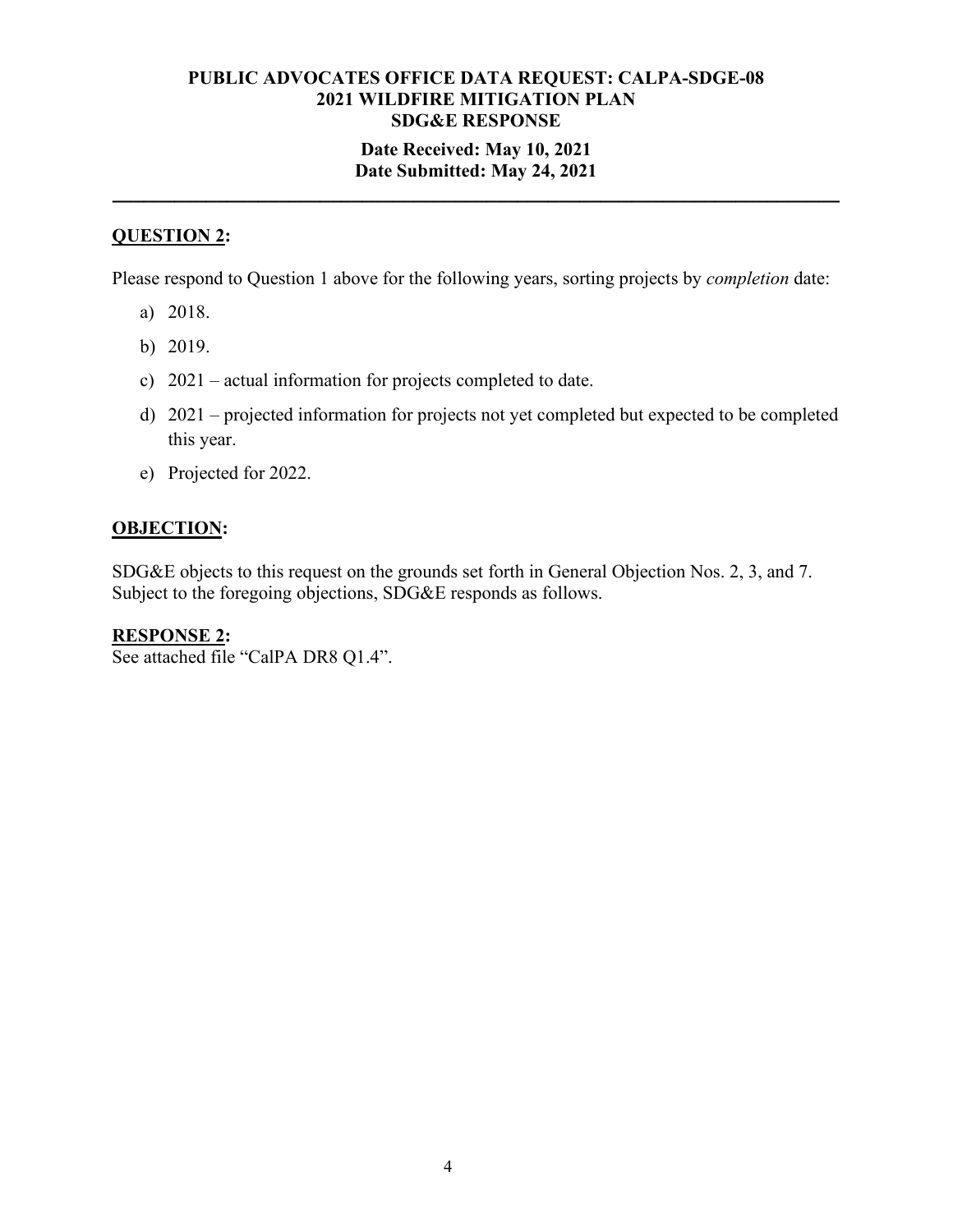# **Date Received: May 10, 2021 Date Submitted: May 24, 2021**

**\_\_\_\_\_\_\_\_\_\_\_\_\_\_\_\_\_\_\_\_\_\_\_\_\_\_\_\_\_\_\_\_\_\_\_\_\_\_\_\_\_\_\_\_\_\_\_\_\_\_\_\_\_\_\_\_\_\_\_\_\_\_\_\_\_\_\_\_\_\_**

# **QUESTION 2:**

Please respond to Question 1 above for the following years, sorting projects by *completion* date:

- a) 2018.
- b) 2019.
- c) 2021 actual information for projects completed to date.
- d) 2021 projected information for projects not yet completed but expected to be completed this year.
- e) Projected for 2022.

# **OBJECTION:**

SDG&E objects to this request on the grounds set forth in General Objection Nos. 2, 3, and 7. Subject to the foregoing objections, SDG&E responds as follows.

**RESPONSE 2:** See attached file "CalPA DR8 Q1.4".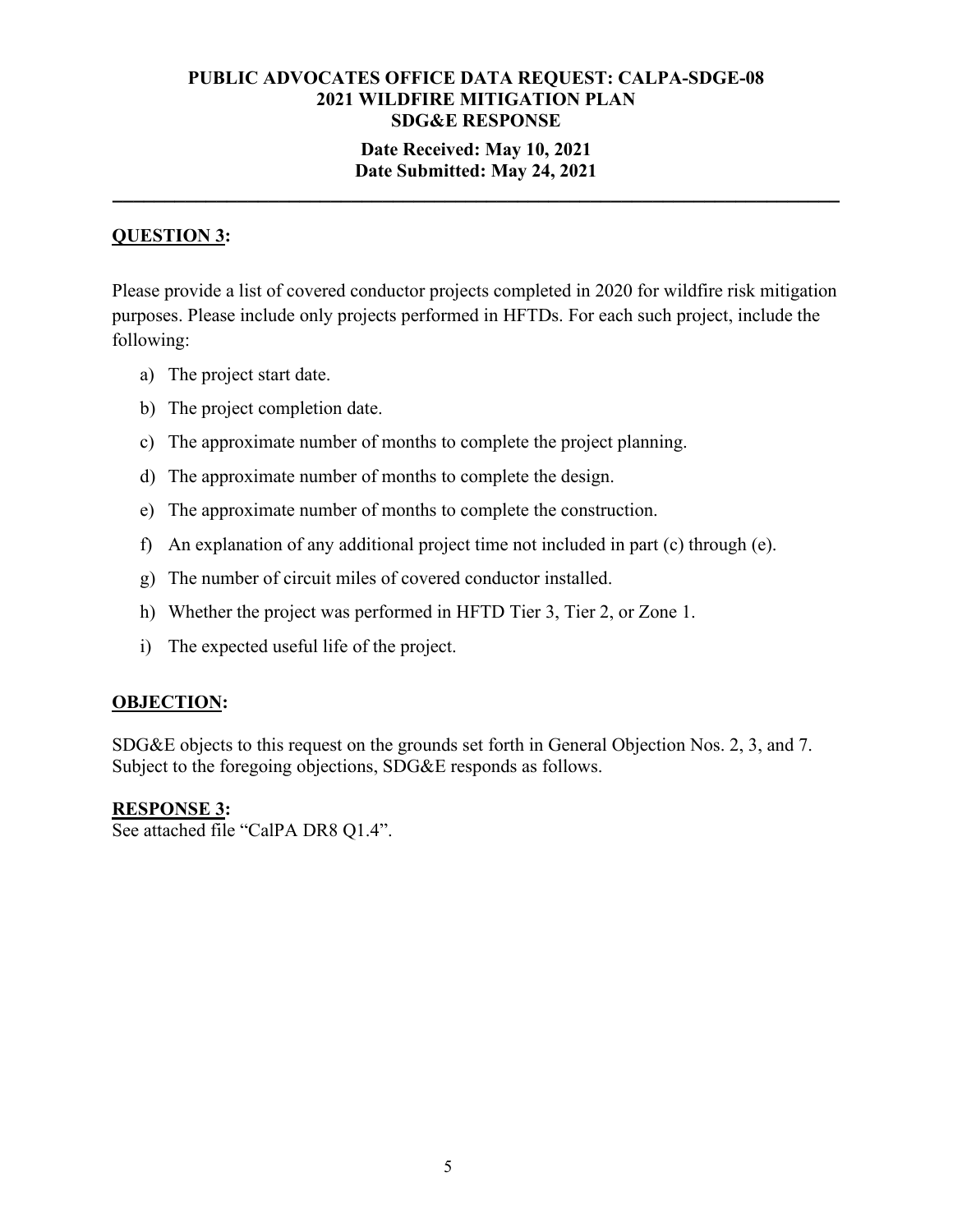# **Date Received: May 10, 2021 Date Submitted: May 24, 2021**

**\_\_\_\_\_\_\_\_\_\_\_\_\_\_\_\_\_\_\_\_\_\_\_\_\_\_\_\_\_\_\_\_\_\_\_\_\_\_\_\_\_\_\_\_\_\_\_\_\_\_\_\_\_\_\_\_\_\_\_\_\_\_\_\_\_\_\_\_\_\_**

# **QUESTION 3:**

Please provide a list of covered conductor projects completed in 2020 for wildfire risk mitigation purposes. Please include only projects performed in HFTDs. For each such project, include the following:

- a) The project start date.
- b) The project completion date.
- c) The approximate number of months to complete the project planning.
- d) The approximate number of months to complete the design.
- e) The approximate number of months to complete the construction.
- f) An explanation of any additional project time not included in part (c) through (e).
- g) The number of circuit miles of covered conductor installed.
- h) Whether the project was performed in HFTD Tier 3, Tier 2, or Zone 1.
- i) The expected useful life of the project.

# **OBJECTION:**

SDG&E objects to this request on the grounds set forth in General Objection Nos. 2, 3, and 7. Subject to the foregoing objections, SDG&E responds as follows.

# **RESPONSE 3:**

See attached file "CalPA DR8 Q1.4".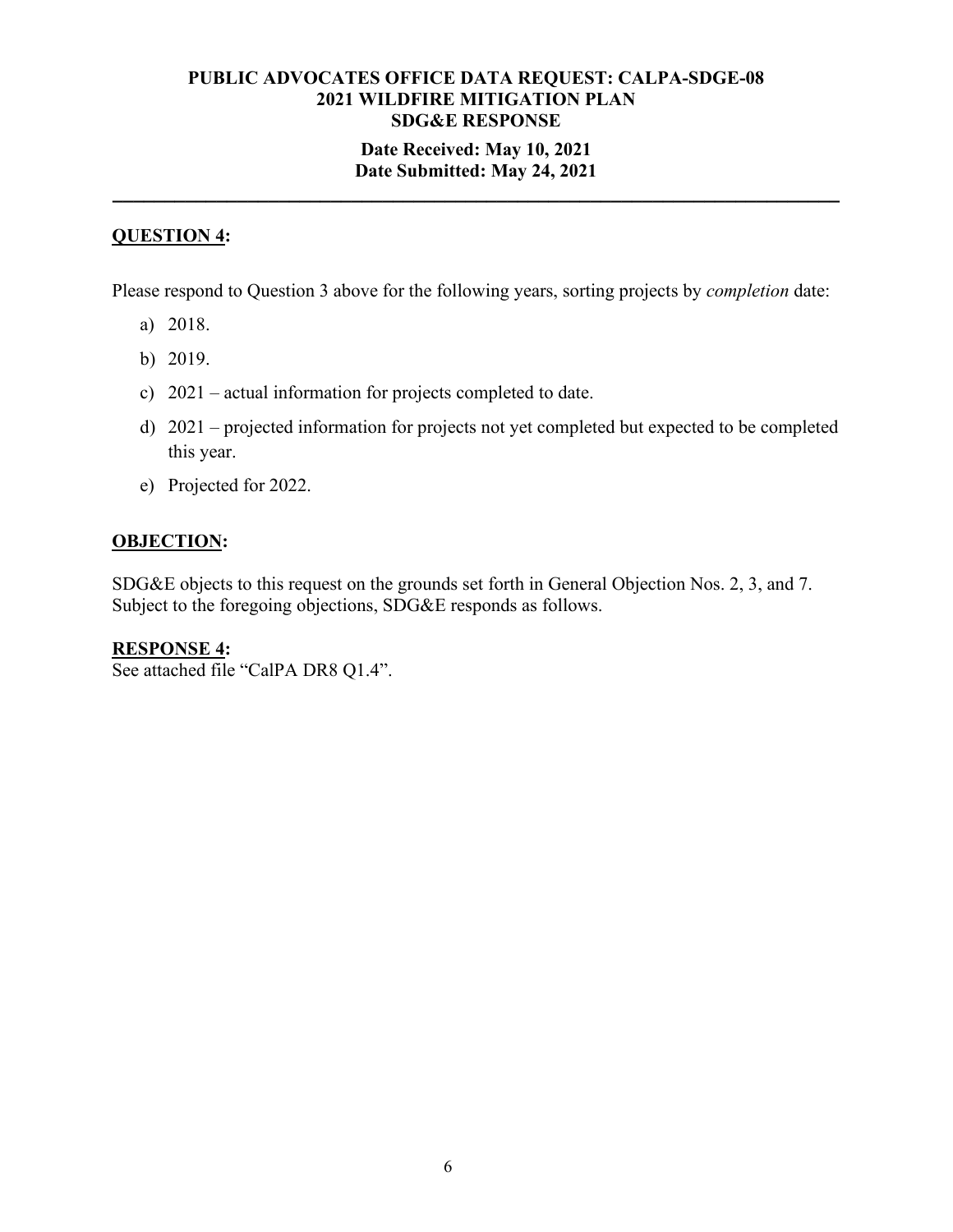# **Date Received: May 10, 2021 Date Submitted: May 24, 2021**

**\_\_\_\_\_\_\_\_\_\_\_\_\_\_\_\_\_\_\_\_\_\_\_\_\_\_\_\_\_\_\_\_\_\_\_\_\_\_\_\_\_\_\_\_\_\_\_\_\_\_\_\_\_\_\_\_\_\_\_\_\_\_\_\_\_\_\_\_\_\_**

# **QUESTION 4:**

Please respond to Question 3 above for the following years, sorting projects by *completion* date:

- a) 2018.
- b) 2019.
- c) 2021 actual information for projects completed to date.
- d) 2021 projected information for projects not yet completed but expected to be completed this year.
- e) Projected for 2022.

# **OBJECTION:**

SDG&E objects to this request on the grounds set forth in General Objection Nos. 2, 3, and 7. Subject to the foregoing objections, SDG&E responds as follows.

#### **RESPONSE 4:**

See attached file "CalPA DR8 Q1.4".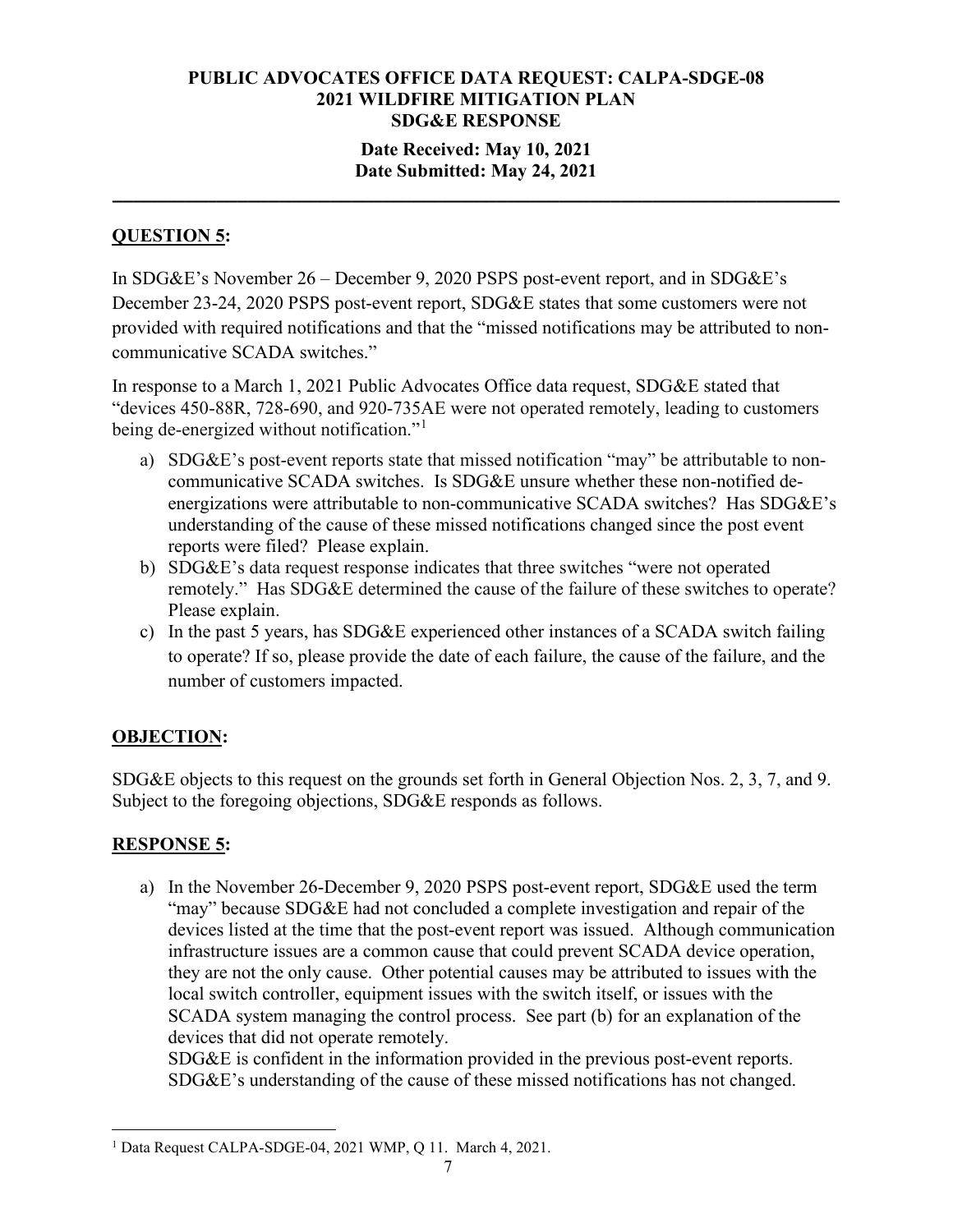# **Date Received: May 10, 2021 Date Submitted: May 24, 2021**

**\_\_\_\_\_\_\_\_\_\_\_\_\_\_\_\_\_\_\_\_\_\_\_\_\_\_\_\_\_\_\_\_\_\_\_\_\_\_\_\_\_\_\_\_\_\_\_\_\_\_\_\_\_\_\_\_\_\_\_\_\_\_\_\_\_\_\_\_\_\_**

# **QUESTION 5:**

In SDG&E's November 26 – December 9, 2020 PSPS post-event report, and in SDG&E's December 23-24, 2020 PSPS post-event report, SDG&E states that some customers were not provided with required notifications and that the "missed notifications may be attributed to noncommunicative SCADA switches."

In response to a March 1, 2021 Public Advocates Office data request, SDG&E stated that "devices 450-88R, 728-690, and 920-735AE were not operated remotely, leading to customers being de-energized without notification."<sup>[1](#page-6-0)</sup>

- a) SDG&E's post-event reports state that missed notification "may" be attributable to noncommunicative SCADA switches. Is SDG&E unsure whether these non-notified deenergizations were attributable to non-communicative SCADA switches? Has SDG&E's understanding of the cause of these missed notifications changed since the post event reports were filed? Please explain.
- b) SDG&E's data request response indicates that three switches "were not operated remotely." Has SDG&E determined the cause of the failure of these switches to operate? Please explain.
- c) In the past 5 years, has SDG&E experienced other instances of a SCADA switch failing to operate? If so, please provide the date of each failure, the cause of the failure, and the number of customers impacted.

# **OBJECTION:**

SDG&E objects to this request on the grounds set forth in General Objection Nos. 2, 3, 7, and 9. Subject to the foregoing objections, SDG&E responds as follows.

# **RESPONSE 5:**

a) In the November 26-December 9, 2020 PSPS post-event report, SDG&E used the term "may" because SDG&E had not concluded a complete investigation and repair of the devices listed at the time that the post-event report was issued. Although communication infrastructure issues are a common cause that could prevent SCADA device operation, they are not the only cause. Other potential causes may be attributed to issues with the local switch controller, equipment issues with the switch itself, or issues with the SCADA system managing the control process. See part (b) for an explanation of the devices that did not operate remotely.

SDG&E is confident in the information provided in the previous post-event reports. SDG&E's understanding of the cause of these missed notifications has not changed.

<span id="page-6-0"></span><sup>&</sup>lt;sup>1</sup> Data Request CALPA-SDGE-04, 2021 WMP, Q 11. March 4, 2021.